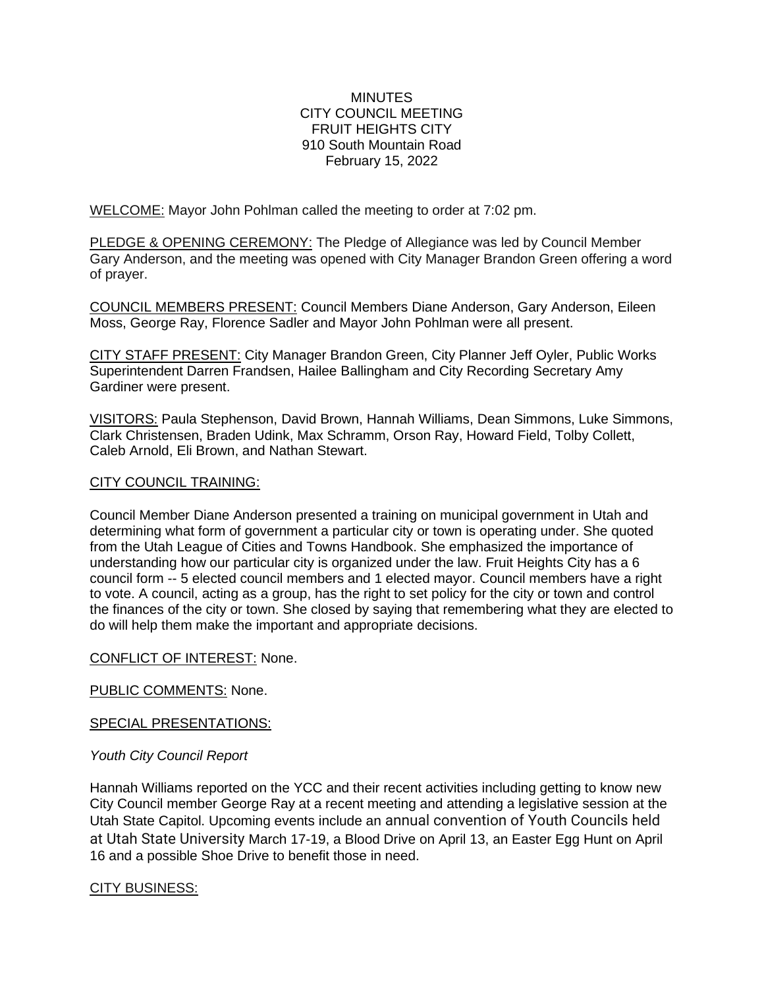## **MINUTES** CITY COUNCIL MEETING FRUIT HEIGHTS CITY 910 South Mountain Road February 15, 2022

WELCOME: Mayor John Pohlman called the meeting to order at 7:02 pm.

PLEDGE & OPENING CEREMONY: The Pledge of Allegiance was led by Council Member Gary Anderson, and the meeting was opened with City Manager Brandon Green offering a word of prayer.

COUNCIL MEMBERS PRESENT: Council Members Diane Anderson, Gary Anderson, Eileen Moss, George Ray, Florence Sadler and Mayor John Pohlman were all present.

CITY STAFF PRESENT: City Manager Brandon Green, City Planner Jeff Oyler, Public Works Superintendent Darren Frandsen, Hailee Ballingham and City Recording Secretary Amy Gardiner were present.

VISITORS: Paula Stephenson, David Brown, Hannah Williams, Dean Simmons, Luke Simmons, Clark Christensen, Braden Udink, Max Schramm, Orson Ray, Howard Field, Tolby Collett, Caleb Arnold, Eli Brown, and Nathan Stewart.

## CITY COUNCIL TRAINING:

Council Member Diane Anderson presented a training on municipal government in Utah and determining what form of government a particular city or town is operating under. She quoted from the Utah League of Cities and Towns Handbook. She emphasized the importance of understanding how our particular city is organized under the law. Fruit Heights City has a 6 council form -- 5 elected council members and 1 elected mayor. Council members have a right to vote. A council, acting as a group, has the right to set policy for the city or town and control the finances of the city or town. She closed by saying that remembering what they are elected to do will help them make the important and appropriate decisions.

## CONFLICT OF INTEREST: None.

PUBLIC COMMENTS: None.

## SPECIAL PRESENTATIONS:

# *Youth City Council Report*

Hannah Williams reported on the YCC and their recent activities including getting to know new City Council member George Ray at a recent meeting and attending a legislative session at the Utah State Capitol. Upcoming events include an annual convention of Youth Councils held at Utah State University March 17-19, a Blood Drive on April 13, an Easter Egg Hunt on April 16 and a possible Shoe Drive to benefit those in need.

# CITY BUSINESS: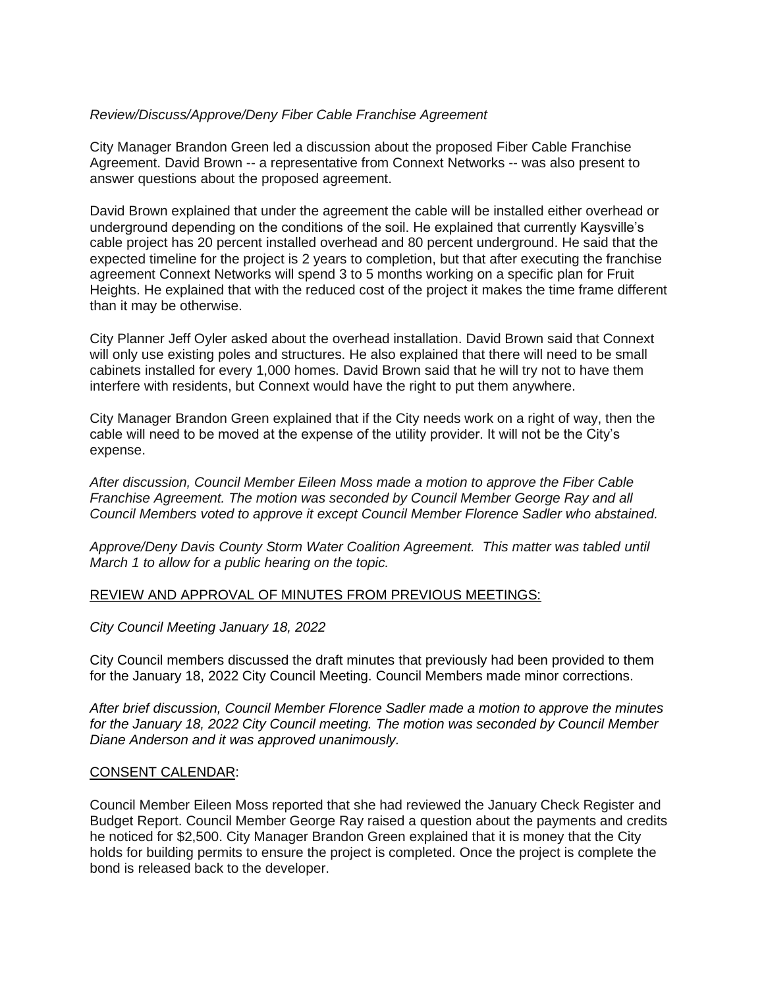## *Review/Discuss/Approve/Deny Fiber Cable Franchise Agreement*

City Manager Brandon Green led a discussion about the proposed Fiber Cable Franchise Agreement. David Brown -- a representative from Connext Networks -- was also present to answer questions about the proposed agreement.

David Brown explained that under the agreement the cable will be installed either overhead or underground depending on the conditions of the soil. He explained that currently Kaysville's cable project has 20 percent installed overhead and 80 percent underground. He said that the expected timeline for the project is 2 years to completion, but that after executing the franchise agreement Connext Networks will spend 3 to 5 months working on a specific plan for Fruit Heights. He explained that with the reduced cost of the project it makes the time frame different than it may be otherwise.

City Planner Jeff Oyler asked about the overhead installation. David Brown said that Connext will only use existing poles and structures. He also explained that there will need to be small cabinets installed for every 1,000 homes. David Brown said that he will try not to have them interfere with residents, but Connext would have the right to put them anywhere.

City Manager Brandon Green explained that if the City needs work on a right of way, then the cable will need to be moved at the expense of the utility provider. It will not be the City's expense.

*After discussion, Council Member Eileen Moss made a motion to approve the Fiber Cable Franchise Agreement. The motion was seconded by Council Member George Ray and all Council Members voted to approve it except Council Member Florence Sadler who abstained.*

*Approve/Deny Davis County Storm Water Coalition Agreement. This matter was tabled until March 1 to allow for a public hearing on the topic.*

## REVIEW AND APPROVAL OF MINUTES FROM PREVIOUS MEETINGS:

*City Council Meeting January 18, 2022*

City Council members discussed the draft minutes that previously had been provided to them for the January 18, 2022 City Council Meeting. Council Members made minor corrections.

*After brief discussion, Council Member Florence Sadler made a motion to approve the minutes for the January 18, 2022 City Council meeting. The motion was seconded by Council Member Diane Anderson and it was approved unanimously.*

## CONSENT CALENDAR:

Council Member Eileen Moss reported that she had reviewed the January Check Register and Budget Report. Council Member George Ray raised a question about the payments and credits he noticed for \$2,500. City Manager Brandon Green explained that it is money that the City holds for building permits to ensure the project is completed. Once the project is complete the bond is released back to the developer.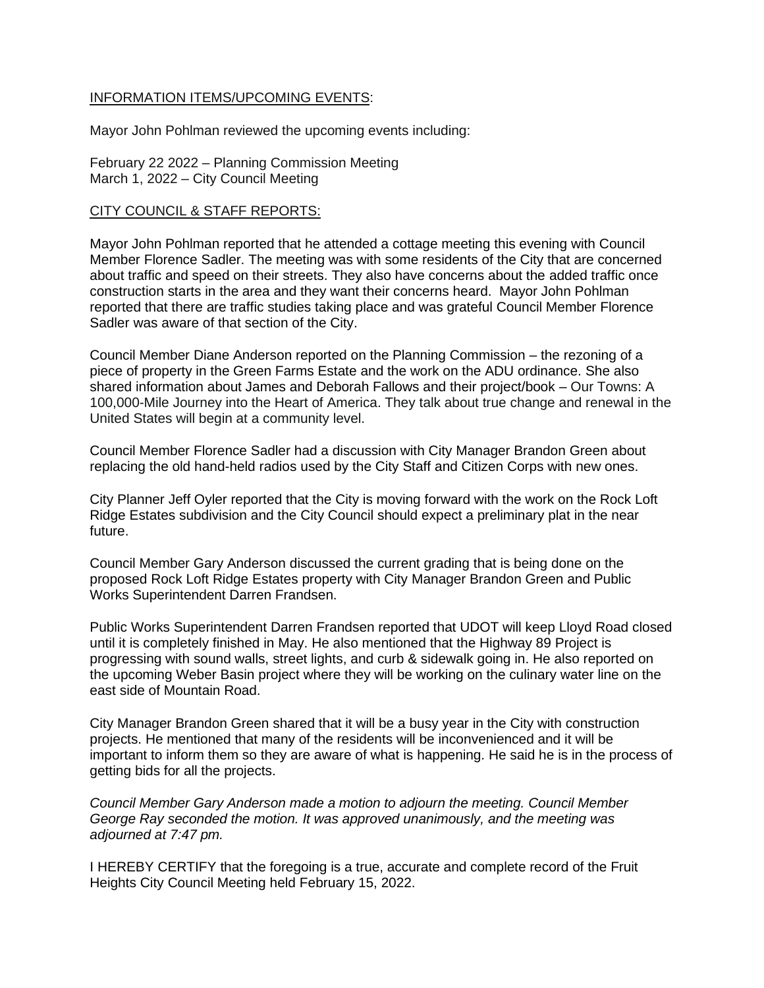## INFORMATION ITEMS/UPCOMING EVENTS:

Mayor John Pohlman reviewed the upcoming events including:

February 22 2022 – Planning Commission Meeting March 1, 2022 – City Council Meeting

## CITY COUNCIL & STAFF REPORTS:

Mayor John Pohlman reported that he attended a cottage meeting this evening with Council Member Florence Sadler. The meeting was with some residents of the City that are concerned about traffic and speed on their streets. They also have concerns about the added traffic once construction starts in the area and they want their concerns heard. Mayor John Pohlman reported that there are traffic studies taking place and was grateful Council Member Florence Sadler was aware of that section of the City.

Council Member Diane Anderson reported on the Planning Commission – the rezoning of a piece of property in the Green Farms Estate and the work on the ADU ordinance. She also shared information about James and Deborah Fallows and their project/book – Our Towns: A 100,000-Mile Journey into the Heart of America. They talk about true change and renewal in the United States will begin at a community level.

Council Member Florence Sadler had a discussion with City Manager Brandon Green about replacing the old hand-held radios used by the City Staff and Citizen Corps with new ones.

City Planner Jeff Oyler reported that the City is moving forward with the work on the Rock Loft Ridge Estates subdivision and the City Council should expect a preliminary plat in the near future.

Council Member Gary Anderson discussed the current grading that is being done on the proposed Rock Loft Ridge Estates property with City Manager Brandon Green and Public Works Superintendent Darren Frandsen.

Public Works Superintendent Darren Frandsen reported that UDOT will keep Lloyd Road closed until it is completely finished in May. He also mentioned that the Highway 89 Project is progressing with sound walls, street lights, and curb & sidewalk going in. He also reported on the upcoming Weber Basin project where they will be working on the culinary water line on the east side of Mountain Road.

City Manager Brandon Green shared that it will be a busy year in the City with construction projects. He mentioned that many of the residents will be inconvenienced and it will be important to inform them so they are aware of what is happening. He said he is in the process of getting bids for all the projects.

*Council Member Gary Anderson made a motion to adjourn the meeting. Council Member George Ray seconded the motion. It was approved unanimously, and the meeting was adjourned at 7:47 pm.*

I HEREBY CERTIFY that the foregoing is a true, accurate and complete record of the Fruit Heights City Council Meeting held February 15, 2022.